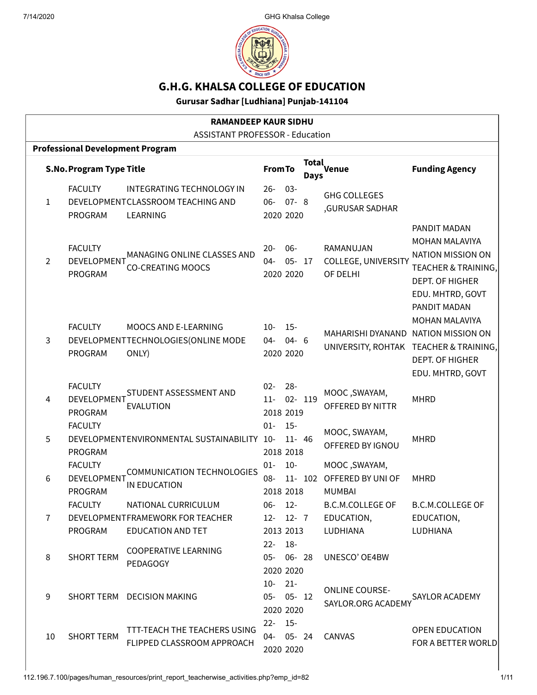

# G.H.G. KHALSA COLLEGE OF EDUCATION

Gurusar Sadhar [Ludhiana] Punjab-141104

| <b>RAMANDEEP KAUR SIDHU</b>             |                                                 |                                                                                     |                                        |                                  |                      |                                                          |                                                                                                                               |
|-----------------------------------------|-------------------------------------------------|-------------------------------------------------------------------------------------|----------------------------------------|----------------------------------|----------------------|----------------------------------------------------------|-------------------------------------------------------------------------------------------------------------------------------|
| <b>ASSISTANT PROFESSOR - Education</b>  |                                                 |                                                                                     |                                        |                                  |                      |                                                          |                                                                                                                               |
| <b>Professional Development Program</b> |                                                 |                                                                                     |                                        |                                  |                      |                                                          |                                                                                                                               |
|                                         | <b>S.No. Program Type Title</b>                 |                                                                                     | <b>From To</b>                         |                                  | <b>Total</b><br>Days | Venue                                                    | <b>Funding Agency</b>                                                                                                         |
| $\mathbf{1}$                            | <b>FACULTY</b><br>PROGRAM                       | INTEGRATING TECHNOLOGY IN<br>DEVELOPMENTCLASSROOM TEACHING AND<br>LEARNING          | $26 -$<br>$06 -$                       | $03 -$<br>$07 - 8$<br>2020 2020  |                      | <b>GHG COLLEGES</b><br>,GURUSAR SADHAR                   |                                                                                                                               |
| 2                                       | <b>FACULTY</b><br>DEVELOPMENT<br><b>PROGRAM</b> | MANAGING ONLINE CLASSES AND<br><b>CO-CREATING MOOCS</b>                             | $20 -$<br>$04 -$                       | $06 -$<br>$05 - 17$<br>2020 2020 |                      | RAMANUJAN<br>COLLEGE, UNIVERSITY<br>OF DELHI             | PANDIT MADAN<br>MOHAN MALAVIYA<br><b>NATION MISSION ON</b><br>TEACHER & TRAINING,<br>DEPT. OF HIGHER<br>EDU. MHTRD, GOVT      |
| $\mathbf{3}$                            | <b>FACULTY</b><br>PROGRAM                       | MOOCS AND E-LEARNING<br>DEVELOPMENTTECHNOLOGIES (ONLINE MODE<br>ONLY)               | $10 -$<br>04-                          | $15 -$<br>$04 - 6$<br>2020 2020  |                      | MAHARISHI DYANAND NATION MISSION ON                      | PANDIT MADAN<br><b>MOHAN MALAVIYA</b><br>UNIVERSITY, ROHTAK TEACHER & TRAINING,<br><b>DEPT. OF HIGHER</b><br>EDU. MHTRD, GOVT |
| 4                                       | <b>FACULTY</b><br>DEVELOPMENT<br>PROGRAM        | STUDENT ASSESSMENT AND<br><b>EVALUTION</b>                                          | $02 -$<br>$11 -$                       | $28 -$<br>02- 119<br>2018 2019   |                      | MOOC, SWAYAM,<br>OFFERED BY NITTR                        | <b>MHRD</b>                                                                                                                   |
| 5                                       | <b>FACULTY</b><br><b>PROGRAM</b>                | DEVELOPMENTENVIRONMENTAL SUSTAINABILITY 10-                                         | $01 -$                                 | $15 -$<br>$11 - 46$<br>2018 2018 |                      | MOOC, SWAYAM,<br>OFFERED BY IGNOU                        | <b>MHRD</b>                                                                                                                   |
| 6                                       | <b>FACULTY</b><br>DEVELOPMENT<br><b>PROGRAM</b> | <b>COMMUNICATION TECHNOLOGIES</b><br>IN EDUCATION                                   | $01 -$<br>$08-$                        | $10-$<br>2018 2018               | 11- 102              | MOOC, SWAYAM,<br>OFFERED BY UNI OF<br><b>MUMBAI</b>      | <b>MHRD</b>                                                                                                                   |
| $\overline{7}$                          | <b>FACULTY</b><br>PROGRAM                       | NATIONAL CURRICULUM<br>DEVELOPMENTFRAMEWORK FOR TEACHER<br><b>EDUCATION AND TET</b> | 06-<br>$12 - 12 - 7$<br>2013 2013      | $12 -$                           |                      | <b>B.C.M.COLLEGE OF</b><br>EDUCATION,<br><b>LUDHIANA</b> | <b>B.C.M.COLLEGE OF</b><br>EDUCATION,<br>LUDHIANA                                                                             |
| 8                                       | <b>SHORT TERM</b>                               | <b>COOPERATIVE LEARNING</b><br>PEDAGOGY                                             | $22 - 18 -$<br>05- 06- 28<br>2020 2020 |                                  |                      | UNESCO' OE4BW                                            |                                                                                                                               |
| 9                                       |                                                 | SHORT TERM DECISION MAKING                                                          | $10 - 21 -$<br>05- 05- 12              | 2020 2020                        |                      | <b>ONLINE COURSE-</b><br>SAYLOR.ORG ACADEMY              | <b>SAYLOR ACADEMY</b>                                                                                                         |
| 10                                      | <b>SHORT TERM</b>                               | TTT-TEACH THE TEACHERS USING<br>FLIPPED CLASSROOM APPROACH                          | $22 - 15$<br>04- 05- 24                | 2020 2020                        |                      | CANVAS                                                   | OPEN EDUCATION<br>FOR A BETTER WORLD                                                                                          |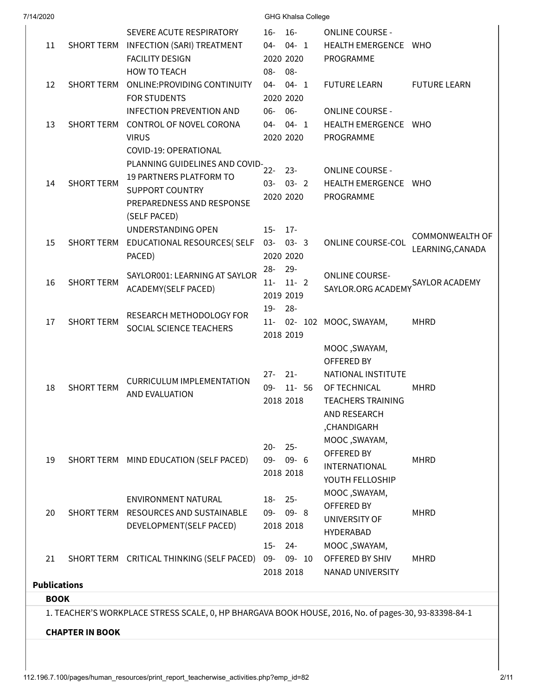| SHORT TERM        | SEVERE ACUTE RESPIRATORY<br>SHORT TERM INFECTION (SARI) TREATMENT<br><b>FACILITY DESIGN</b><br><b>HOW TO TEACH</b> | $16-$<br>16-<br>04-<br>$04 - 1$<br>2020 2020                                                                                                                                                                                                                                                                                                       | <b>ONLINE COURSE -</b><br>HEALTH EMERGENCE WHO                                                                                                                                                                 |                                                                                                                                                                                                                                                                                                                                                                                                                                                                               |
|-------------------|--------------------------------------------------------------------------------------------------------------------|----------------------------------------------------------------------------------------------------------------------------------------------------------------------------------------------------------------------------------------------------------------------------------------------------------------------------------------------------|----------------------------------------------------------------------------------------------------------------------------------------------------------------------------------------------------------------|-------------------------------------------------------------------------------------------------------------------------------------------------------------------------------------------------------------------------------------------------------------------------------------------------------------------------------------------------------------------------------------------------------------------------------------------------------------------------------|
|                   |                                                                                                                    |                                                                                                                                                                                                                                                                                                                                                    |                                                                                                                                                                                                                |                                                                                                                                                                                                                                                                                                                                                                                                                                                                               |
|                   |                                                                                                                    |                                                                                                                                                                                                                                                                                                                                                    |                                                                                                                                                                                                                |                                                                                                                                                                                                                                                                                                                                                                                                                                                                               |
|                   |                                                                                                                    |                                                                                                                                                                                                                                                                                                                                                    | PROGRAMME                                                                                                                                                                                                      |                                                                                                                                                                                                                                                                                                                                                                                                                                                                               |
|                   |                                                                                                                    | $08 -$<br>08-                                                                                                                                                                                                                                                                                                                                      |                                                                                                                                                                                                                |                                                                                                                                                                                                                                                                                                                                                                                                                                                                               |
|                   | <b>ONLINE: PROVIDING CONTINUITY</b>                                                                                | $04 - 1$<br>04-                                                                                                                                                                                                                                                                                                                                    | <b>FUTURE LEARN</b>                                                                                                                                                                                            | <b>FUTURE LEARN</b>                                                                                                                                                                                                                                                                                                                                                                                                                                                           |
|                   | <b>FOR STUDENTS</b>                                                                                                | 2020 2020                                                                                                                                                                                                                                                                                                                                          |                                                                                                                                                                                                                |                                                                                                                                                                                                                                                                                                                                                                                                                                                                               |
|                   | <b>INFECTION PREVENTION AND</b>                                                                                    | $06 -$<br>06-                                                                                                                                                                                                                                                                                                                                      | <b>ONLINE COURSE -</b>                                                                                                                                                                                         |                                                                                                                                                                                                                                                                                                                                                                                                                                                                               |
|                   | SHORT TERM CONTROL OF NOVEL CORONA                                                                                 | $04 - 1$<br>04-                                                                                                                                                                                                                                                                                                                                    | HEALTH EMERGENCE WHO                                                                                                                                                                                           |                                                                                                                                                                                                                                                                                                                                                                                                                                                                               |
|                   | <b>VIRUS</b>                                                                                                       | 2020 2020                                                                                                                                                                                                                                                                                                                                          | PROGRAMME                                                                                                                                                                                                      |                                                                                                                                                                                                                                                                                                                                                                                                                                                                               |
|                   | COVID-19: OPERATIONAL                                                                                              |                                                                                                                                                                                                                                                                                                                                                    |                                                                                                                                                                                                                |                                                                                                                                                                                                                                                                                                                                                                                                                                                                               |
|                   |                                                                                                                    |                                                                                                                                                                                                                                                                                                                                                    |                                                                                                                                                                                                                |                                                                                                                                                                                                                                                                                                                                                                                                                                                                               |
|                   | 19 PARTNERS PLATFORM TO                                                                                            |                                                                                                                                                                                                                                                                                                                                                    |                                                                                                                                                                                                                |                                                                                                                                                                                                                                                                                                                                                                                                                                                                               |
|                   | <b>SUPPORT COUNTRY</b>                                                                                             |                                                                                                                                                                                                                                                                                                                                                    |                                                                                                                                                                                                                |                                                                                                                                                                                                                                                                                                                                                                                                                                                                               |
|                   | PREPAREDNESS AND RESPONSE                                                                                          |                                                                                                                                                                                                                                                                                                                                                    |                                                                                                                                                                                                                |                                                                                                                                                                                                                                                                                                                                                                                                                                                                               |
|                   | (SELF PACED)                                                                                                       |                                                                                                                                                                                                                                                                                                                                                    |                                                                                                                                                                                                                |                                                                                                                                                                                                                                                                                                                                                                                                                                                                               |
|                   | UNDERSTANDING OPEN                                                                                                 | $17 -$<br>$15 -$                                                                                                                                                                                                                                                                                                                                   |                                                                                                                                                                                                                |                                                                                                                                                                                                                                                                                                                                                                                                                                                                               |
| SHORT TERM        | EDUCATIONAL RESOURCES( SELF                                                                                        | $03 - 03 - 3$                                                                                                                                                                                                                                                                                                                                      | <b>ONLINE COURSE-COL</b>                                                                                                                                                                                       | COMMONWEALTH OF                                                                                                                                                                                                                                                                                                                                                                                                                                                               |
|                   | PACED)                                                                                                             | 2020 2020                                                                                                                                                                                                                                                                                                                                          |                                                                                                                                                                                                                | LEARNING, CANADA                                                                                                                                                                                                                                                                                                                                                                                                                                                              |
|                   |                                                                                                                    | $28 -$<br>$29 -$                                                                                                                                                                                                                                                                                                                                   |                                                                                                                                                                                                                |                                                                                                                                                                                                                                                                                                                                                                                                                                                                               |
| <b>SHORT TERM</b> |                                                                                                                    | $11 - 11 - 2$                                                                                                                                                                                                                                                                                                                                      |                                                                                                                                                                                                                | SAYLOR ACADEMY                                                                                                                                                                                                                                                                                                                                                                                                                                                                |
|                   |                                                                                                                    | 2019 2019                                                                                                                                                                                                                                                                                                                                          |                                                                                                                                                                                                                |                                                                                                                                                                                                                                                                                                                                                                                                                                                                               |
|                   |                                                                                                                    | 19-28-                                                                                                                                                                                                                                                                                                                                             |                                                                                                                                                                                                                |                                                                                                                                                                                                                                                                                                                                                                                                                                                                               |
| <b>SHORT TERM</b> |                                                                                                                    | $11 -$                                                                                                                                                                                                                                                                                                                                             | MOOC, SWAYAM,                                                                                                                                                                                                  | <b>MHRD</b>                                                                                                                                                                                                                                                                                                                                                                                                                                                                   |
|                   |                                                                                                                    | 2018 2019                                                                                                                                                                                                                                                                                                                                          |                                                                                                                                                                                                                |                                                                                                                                                                                                                                                                                                                                                                                                                                                                               |
|                   |                                                                                                                    |                                                                                                                                                                                                                                                                                                                                                    | MOOC, SWAYAM,                                                                                                                                                                                                  |                                                                                                                                                                                                                                                                                                                                                                                                                                                                               |
|                   |                                                                                                                    |                                                                                                                                                                                                                                                                                                                                                    | <b>OFFERED BY</b>                                                                                                                                                                                              |                                                                                                                                                                                                                                                                                                                                                                                                                                                                               |
|                   |                                                                                                                    | $27 -$                                                                                                                                                                                                                                                                                                                                             | NATIONAL INSTITUTE                                                                                                                                                                                             |                                                                                                                                                                                                                                                                                                                                                                                                                                                                               |
| <b>SHORT TERM</b> |                                                                                                                    | 09-<br>$11 - 56$                                                                                                                                                                                                                                                                                                                                   |                                                                                                                                                                                                                | <b>MHRD</b>                                                                                                                                                                                                                                                                                                                                                                                                                                                                   |
|                   |                                                                                                                    | 2018 2018                                                                                                                                                                                                                                                                                                                                          | <b>TEACHERS TRAINING</b>                                                                                                                                                                                       |                                                                                                                                                                                                                                                                                                                                                                                                                                                                               |
|                   |                                                                                                                    |                                                                                                                                                                                                                                                                                                                                                    |                                                                                                                                                                                                                |                                                                                                                                                                                                                                                                                                                                                                                                                                                                               |
|                   |                                                                                                                    |                                                                                                                                                                                                                                                                                                                                                    | ,CHANDIGARH                                                                                                                                                                                                    |                                                                                                                                                                                                                                                                                                                                                                                                                                                                               |
|                   |                                                                                                                    |                                                                                                                                                                                                                                                                                                                                                    |                                                                                                                                                                                                                |                                                                                                                                                                                                                                                                                                                                                                                                                                                                               |
|                   |                                                                                                                    |                                                                                                                                                                                                                                                                                                                                                    |                                                                                                                                                                                                                | <b>MHRD</b>                                                                                                                                                                                                                                                                                                                                                                                                                                                                   |
|                   |                                                                                                                    |                                                                                                                                                                                                                                                                                                                                                    |                                                                                                                                                                                                                |                                                                                                                                                                                                                                                                                                                                                                                                                                                                               |
|                   |                                                                                                                    |                                                                                                                                                                                                                                                                                                                                                    |                                                                                                                                                                                                                |                                                                                                                                                                                                                                                                                                                                                                                                                                                                               |
|                   |                                                                                                                    |                                                                                                                                                                                                                                                                                                                                                    |                                                                                                                                                                                                                |                                                                                                                                                                                                                                                                                                                                                                                                                                                                               |
|                   |                                                                                                                    | $09 - 8$                                                                                                                                                                                                                                                                                                                                           |                                                                                                                                                                                                                | <b>MHRD</b>                                                                                                                                                                                                                                                                                                                                                                                                                                                                   |
|                   |                                                                                                                    | 2018 2018                                                                                                                                                                                                                                                                                                                                          |                                                                                                                                                                                                                |                                                                                                                                                                                                                                                                                                                                                                                                                                                                               |
|                   |                                                                                                                    |                                                                                                                                                                                                                                                                                                                                                    |                                                                                                                                                                                                                |                                                                                                                                                                                                                                                                                                                                                                                                                                                                               |
|                   |                                                                                                                    |                                                                                                                                                                                                                                                                                                                                                    |                                                                                                                                                                                                                |                                                                                                                                                                                                                                                                                                                                                                                                                                                                               |
|                   |                                                                                                                    |                                                                                                                                                                                                                                                                                                                                                    |                                                                                                                                                                                                                | <b>MHRD</b>                                                                                                                                                                                                                                                                                                                                                                                                                                                                   |
|                   |                                                                                                                    |                                                                                                                                                                                                                                                                                                                                                    |                                                                                                                                                                                                                |                                                                                                                                                                                                                                                                                                                                                                                                                                                                               |
|                   |                                                                                                                    |                                                                                                                                                                                                                                                                                                                                                    |                                                                                                                                                                                                                |                                                                                                                                                                                                                                                                                                                                                                                                                                                                               |
|                   |                                                                                                                    |                                                                                                                                                                                                                                                                                                                                                    |                                                                                                                                                                                                                |                                                                                                                                                                                                                                                                                                                                                                                                                                                                               |
|                   |                                                                                                                    |                                                                                                                                                                                                                                                                                                                                                    |                                                                                                                                                                                                                |                                                                                                                                                                                                                                                                                                                                                                                                                                                                               |
| <b>BOOK</b>       | <b>SHORT TERM</b><br><b>Publications</b><br><b>CHAPTER IN BOOK</b>                                                 | SAYLOR001: LEARNING AT SAYLOR<br>ACADEMY(SELF PACED)<br>RESEARCH METHODOLOGY FOR<br>SOCIAL SCIENCE TEACHERS<br><b>CURRICULUM IMPLEMENTATION</b><br>AND EVALUATION<br>SHORT TERM MIND EDUCATION (SELF PACED)<br>ENVIRONMENT NATURAL<br>SHORT TERM RESOURCES AND SUSTAINABLE<br>DEVELOPMENT(SELF PACED)<br>SHORT TERM CRITICAL THINKING (SELF PACED) | PLANNING GUIDELINES AND COVID-<br>$22 -$<br>$23 -$<br>$03 - 03 - 2$<br>2020 2020<br>$21 -$<br>$20 -$<br>$25 -$<br>$09 -$<br>$09 - 6$<br>2018 2018<br>$18 - 25 -$<br>09-<br>$24 -$<br>$15-$<br>09-<br>2018 2018 | <b>ONLINE COURSE -</b><br>HEALTH EMERGENCE WHO<br>PROGRAMME<br><b>ONLINE COURSE-</b><br>SAYLOR.ORG ACADEMY<br>02- 102<br>OF TECHNICAL<br>AND RESEARCH<br>MOOC, SWAYAM,<br>OFFERED BY<br><b>INTERNATIONAL</b><br>YOUTH FELLOSHIP<br>MOOC, SWAYAM,<br>OFFERED BY<br>UNIVERSITY OF<br><b>HYDERABAD</b><br>MOOC, SWAYAM,<br>09- 10<br>OFFERED BY SHIV<br>NANAD UNIVERSITY<br>1. TEACHER'S WORKPLACE STRESS SCALE, 0, HP BHARGAVA BOOK HOUSE, 2016, No. of pages-30, 93-83398-84-1 |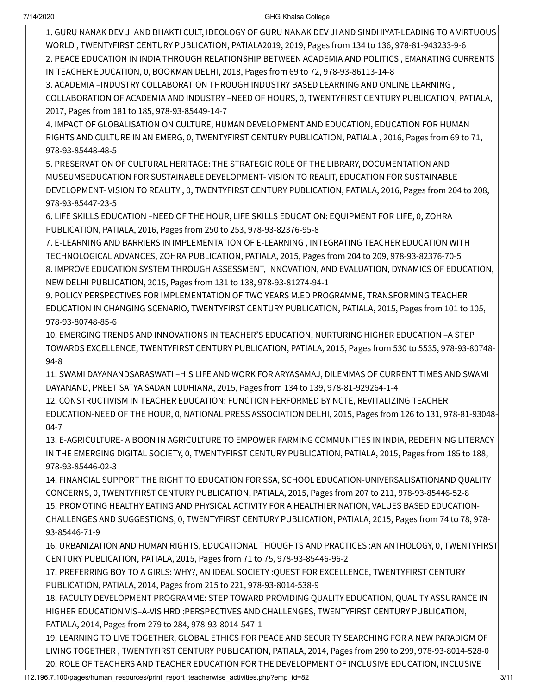1. GURU NANAK DEV JI AND BHAKTI CULT, IDEOLOGY OF GURU NANAK DEV JI AND SINDHIYAT-LEADING TO A VIRTUOUS WORLD , TWENTYFIRST CENTURY PUBLICATION, PATIALA2019, 2019, Pages from 134 to 136, 978-81-943233-9-6 2. PEACE EDUCATION IN INDIA THROUGH RELATIONSHIP BETWEEN ACADEMIA AND POLITICS , EMANATING CURRENTS IN TEACHER EDUCATION, 0, BOOKMAN DELHI, 2018, Pages from 69 to 72, 978-93-86113-14-8

3. ACADEMIA –INDUSTRY COLLABORATION THROUGH INDUSTRY BASED LEARNING AND ONLINE LEARNING , COLLABORATION OF ACADEMIA AND INDUSTRY –NEED OF HOURS, 0, TWENTYFIRST CENTURY PUBLICATION, PATIALA, 2017, Pages from 181 to 185, 978-93-85449-14-7

4. IMPACT OF GLOBALISATION ON CULTURE, HUMAN DEVELOPMENT AND EDUCATION, EDUCATION FOR HUMAN RIGHTS AND CULTURE IN AN EMERG, 0, TWENTYFIRST CENTURY PUBLICATION, PATIALA , 2016, Pages from 69 to 71, 978-93-85448-48-5

5. PRESERVATION OF CULTURAL HERITAGE: THE STRATEGIC ROLE OF THE LIBRARY, DOCUMENTATION AND MUSEUMSEDUCATION FOR SUSTAINABLE DEVELOPMENT- VISION TO REALIT, EDUCATION FOR SUSTAINABLE DEVELOPMENT- VISION TO REALITY , 0, TWENTYFIRST CENTURY PUBLICATION, PATIALA, 2016, Pages from 204 to 208, 978-93-85447-23-5

6. LIFE SKILLS EDUCATION –NEED OF THE HOUR, LIFE SKILLS EDUCATION: EQUIPMENT FOR LIFE, 0, ZOHRA PUBLICATION, PATIALA, 2016, Pages from 250 to 253, 978-93-82376-95-8

7. E-LEARNING AND BARRIERS IN IMPLEMENTATION OF E-LEARNING , INTEGRATING TEACHER EDUCATION WITH TECHNOLOGICAL ADVANCES, ZOHRA PUBLICATION, PATIALA, 2015, Pages from 204 to 209, 978-93-82376-70-5 8. IMPROVE EDUCATION SYSTEM THROUGH ASSESSMENT, INNOVATION, AND EVALUATION, DYNAMICS OF EDUCATION, NEW DELHI PUBLICATION, 2015, Pages from 131 to 138, 978-93-81274-94-1

9. POLICY PERSPECTIVES FOR IMPLEMENTATION OF TWO YEARS M.ED PROGRAMME, TRANSFORMING TEACHER EDUCATION IN CHANGING SCENARIO, TWENTYFIRST CENTURY PUBLICATION, PATIALA, 2015, Pages from 101 to 105, 978-93-80748-85-6

10. EMERGING TRENDS AND INNOVATIONS IN TEACHER'S EDUCATION, NURTURING HIGHER EDUCATION –A STEP TOWARDS EXCELLENCE, TWENTYFIRST CENTURY PUBLICATION, PATIALA, 2015, Pages from 530 to 5535, 978-93-80748- 94-8

11. SWAMI DAYANANDSARASWATI –HIS LIFE AND WORK FOR ARYASAMAJ, DILEMMAS OF CURRENT TIMES AND SWAMI DAYANAND, PREET SATYA SADAN LUDHIANA, 2015, Pages from 134 to 139, 978-81-929264-1-4

12. CONSTRUCTIVISM IN TEACHER EDUCATION: FUNCTION PERFORMED BY NCTE, REVITALIZING TEACHER EDUCATION-NEED OF THE HOUR, 0, NATIONAL PRESS ASSOCIATION DELHI, 2015, Pages from 126 to 131, 978-81-93048- 04-7

13. E-AGRICULTURE- A BOON IN AGRICULTURE TO EMPOWER FARMING COMMUNITIES IN INDIA, REDEFINING LITERACY IN THE EMERGING DIGITAL SOCIETY, 0, TWENTYFIRST CENTURY PUBLICATION, PATIALA, 2015, Pages from 185 to 188, 978-93-85446-02-3

14. FINANCIAL SUPPORT THE RIGHT TO EDUCATION FOR SSA, SCHOOL EDUCATION-UNIVERSALISATIONAND QUALITY CONCERNS, 0, TWENTYFIRST CENTURY PUBLICATION, PATIALA, 2015, Pages from 207 to 211, 978-93-85446-52-8 15. PROMOTING HEALTHY EATING AND PHYSICAL ACTIVITY FOR A HEALTHIER NATION, VALUES BASED EDUCATION-CHALLENGES AND SUGGESTIONS, 0, TWENTYFIRST CENTURY PUBLICATION, PATIALA, 2015, Pages from 74 to 78, 978- 93-85446-71-9

16. URBANIZATION AND HUMAN RIGHTS, EDUCATIONAL THOUGHTS AND PRACTICES :AN ANTHOLOGY, 0, TWENTYFIRST CENTURY PUBLICATION, PATIALA, 2015, Pages from 71 to 75, 978-93-85446-96-2

17. PREFERRING BOY TO A GIRLS: WHY?, AN IDEAL SOCIETY :QUEST FOR EXCELLENCE, TWENTYFIRST CENTURY PUBLICATION, PATIALA, 2014, Pages from 215 to 221, 978-93-8014-538-9

18. FACULTY DEVELOPMENT PROGRAMME: STEP TOWARD PROVIDING QUALITY EDUCATION, QUALITY ASSURANCE IN HIGHER EDUCATION VIS–A-VIS HRD :PERSPECTIVES AND CHALLENGES, TWENTYFIRST CENTURY PUBLICATION, PATIALA, 2014, Pages from 279 to 284, 978-93-8014-547-1

19. LEARNING TO LIVE TOGETHER, GLOBAL ETHICS FOR PEACE AND SECURITY SEARCHING FOR A NEW PARADIGM OF LIVING TOGETHER , TWENTYFIRST CENTURY PUBLICATION, PATIALA, 2014, Pages from 290 to 299, 978-93-8014-528-0 20. ROLE OF TEACHERS AND TEACHER EDUCATION FOR THE DEVELOPMENT OF INCLUSIVE EDUCATION, INCLUSIVE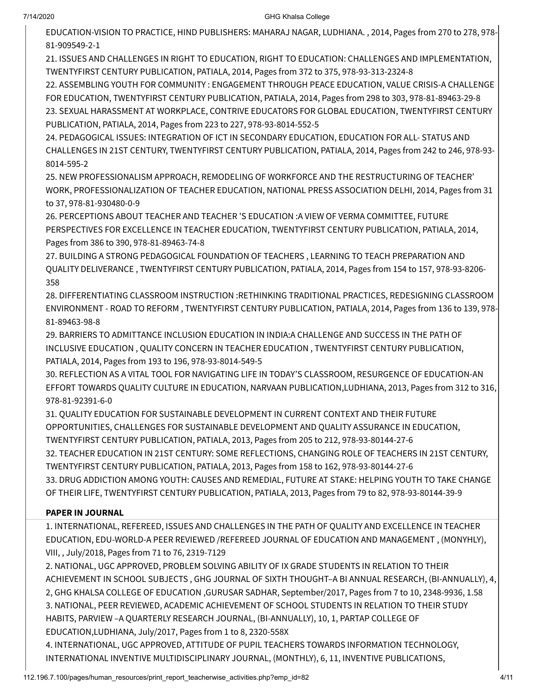EDUCATION-VISION TO PRACTICE, HIND PUBLISHERS: MAHARAJ NAGAR, LUDHIANA. , 2014, Pages from 270 to 278, 978- 81-909549-2-1

21. ISSUES AND CHALLENGES IN RIGHT TO EDUCATION, RIGHT TO EDUCATION: CHALLENGES AND IMPLEMENTATION, TWENTYFIRST CENTURY PUBLICATION, PATIALA, 2014, Pages from 372 to 375, 978-93-313-2324-8

22. ASSEMBLING YOUTH FOR COMMUNITY : ENGAGEMENT THROUGH PEACE EDUCATION, VALUE CRISIS-A CHALLENGE FOR EDUCATION, TWENTYFIRST CENTURY PUBLICATION, PATIALA, 2014, Pages from 298 to 303, 978-81-89463-29-8 23. SEXUAL HARASSMENT AT WORKPLACE, CONTRIVE EDUCATORS FOR GLOBAL EDUCATION, TWENTYFIRST CENTURY PUBLICATION, PATIALA, 2014, Pages from 223 to 227, 978-93-8014-552-5

24. PEDAGOGICAL ISSUES: INTEGRATION OF ICT IN SECONDARY EDUCATION, EDUCATION FOR ALL- STATUS AND CHALLENGES IN 21ST CENTURY, TWENTYFIRST CENTURY PUBLICATION, PATIALA, 2014, Pages from 242 to 246, 978-93- 8014-595-2

25. NEW PROFESSIONALISM APPROACH, REMODELING OF WORKFORCE AND THE RESTRUCTURING OF TEACHER' WORK, PROFESSIONALIZATION OF TEACHER EDUCATION, NATIONAL PRESS ASSOCIATION DELHI, 2014, Pages from 31 to 37, 978-81-930480-0-9

26. PERCEPTIONS ABOUT TEACHER AND TEACHER 'S EDUCATION :A VIEW OF VERMA COMMITTEE, FUTURE PERSPECTIVES FOR EXCELLENCE IN TEACHER EDUCATION, TWENTYFIRST CENTURY PUBLICATION, PATIALA, 2014, Pages from 386 to 390, 978-81-89463-74-8

27. BUILDING A STRONG PEDAGOGICAL FOUNDATION OF TEACHERS , LEARNING TO TEACH PREPARATION AND QUALITY DELIVERANCE , TWENTYFIRST CENTURY PUBLICATION, PATIALA, 2014, Pages from 154 to 157, 978-93-8206- 358

28. DIFFERENTIATING CLASSROOM INSTRUCTION :RETHINKING TRADITIONAL PRACTICES, REDESIGNING CLASSROOM ENVIRONMENT - ROAD TO REFORM , TWENTYFIRST CENTURY PUBLICATION, PATIALA, 2014, Pages from 136 to 139, 978- 81-89463-98-8

29. BARRIERS TO ADMITTANCE INCLUSION EDUCATION IN INDIA:A CHALLENGE AND SUCCESS IN THE PATH OF INCLUSIVE EDUCATION , QUALITY CONCERN IN TEACHER EDUCATION , TWENTYFIRST CENTURY PUBLICATION, PATIALA, 2014, Pages from 193 to 196, 978-93-8014-549-5

30. REFLECTION AS A VITAL TOOL FOR NAVIGATING LIFE IN TODAY'S CLASSROOM, RESURGENCE OF EDUCATION-AN EFFORT TOWARDS QUALITY CULTURE IN EDUCATION, NARVAAN PUBLICATION,LUDHIANA, 2013, Pages from 312 to 316, 978-81-92391-6-0

31. QUALITY EDUCATION FOR SUSTAINABLE DEVELOPMENT IN CURRENT CONTEXT AND THEIR FUTURE OPPORTUNITIES, CHALLENGES FOR SUSTAINABLE DEVELOPMENT AND QUALITY ASSURANCE IN EDUCATION, TWENTYFIRST CENTURY PUBLICATION, PATIALA, 2013, Pages from 205 to 212, 978-93-80144-27-6 32. TEACHER EDUCATION IN 21ST CENTURY: SOME REFLECTIONS, CHANGING ROLE OF TEACHERS IN 21ST CENTURY, TWENTYFIRST CENTURY PUBLICATION, PATIALA, 2013, Pages from 158 to 162, 978-93-80144-27-6

33. DRUG ADDICTION AMONG YOUTH: CAUSES AND REMEDIAL, FUTURE AT STAKE: HELPING YOUTH TO TAKE CHANGE OF THEIR LIFE, TWENTYFIRST CENTURY PUBLICATION, PATIALA, 2013, Pages from 79 to 82, 978-93-80144-39-9

### PAPER IN JOURNAL

1. INTERNATIONAL, REFEREED, ISSUES AND CHALLENGES IN THE PATH OF QUALITY AND EXCELLENCE IN TEACHER EDUCATION, EDU-WORLD-A PEER REVIEWED /REFEREED JOURNAL OF EDUCATION AND MANAGEMENT , (MONYHLY), VIII, , July/2018, Pages from 71 to 76, 2319-7129

2. NATIONAL, UGC APPROVED, PROBLEM SOLVING ABILITY OF IX GRADE STUDENTS IN RELATION TO THEIR ACHIEVEMENT IN SCHOOL SUBJECTS , GHG JOURNAL OF SIXTH THOUGHT–A BI ANNUAL RESEARCH, (BI-ANNUALLY), 4, 2, GHG KHALSA COLLEGE OF EDUCATION ,GURUSAR SADHAR, September/2017, Pages from 7 to 10, 2348-9936, 1.58 3. NATIONAL, PEER REVIEWED, ACADEMIC ACHIEVEMENT OF SCHOOL STUDENTS IN RELATION TO THEIR STUDY HABITS, PARVIEW –A QUARTERLY RESEARCH JOURNAL, (BI-ANNUALLY), 10, 1, PARTAP COLLEGE OF EDUCATION,LUDHIANA, July/2017, Pages from 1 to 8, 2320-558X

4. INTERNATIONAL, UGC APPROVED, ATTITUDE OF PUPIL TEACHERS TOWARDS INFORMATION TECHNOLOGY, INTERNATIONAL INVENTIVE MULTIDISCIPLINARY JOURNAL, (MONTHLY), 6, 11, INVENTIVE PUBLICATIONS,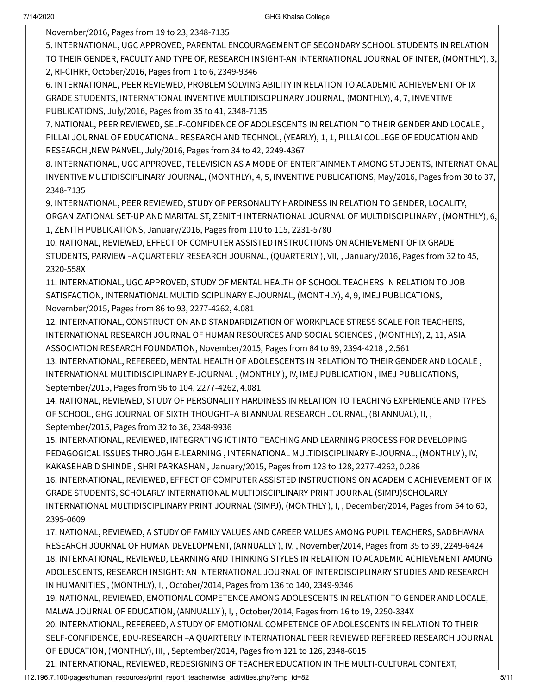November/2016, Pages from 19 to 23, 2348-7135

5. INTERNATIONAL, UGC APPROVED, PARENTAL ENCOURAGEMENT OF SECONDARY SCHOOL STUDENTS IN RELATION TO THEIR GENDER, FACULTY AND TYPE OF, RESEARCH INSIGHT-AN INTERNATIONAL JOURNAL OF INTER, (MONTHLY), 3, 2, RI-CIHRF, October/2016, Pages from 1 to 6, 2349-9346

6. INTERNATIONAL, PEER REVIEWED, PROBLEM SOLVING ABILITY IN RELATION TO ACADEMIC ACHIEVEMENT OF IX GRADE STUDENTS, INTERNATIONAL INVENTIVE MULTIDISCIPLINARY JOURNAL, (MONTHLY), 4, 7, INVENTIVE PUBLICATIONS, July/2016, Pages from 35 to 41, 2348-7135

7. NATIONAL, PEER REVIEWED, SELF-CONFIDENCE OF ADOLESCENTS IN RELATION TO THEIR GENDER AND LOCALE , PILLAI JOURNAL OF EDUCATIONAL RESEARCH AND TECHNOL, (YEARLY), 1, 1, PILLAI COLLEGE OF EDUCATION AND RESEARCH ,NEW PANVEL, July/2016, Pages from 34 to 42, 2249-4367

8. INTERNATIONAL, UGC APPROVED, TELEVISION AS A MODE OF ENTERTAINMENT AMONG STUDENTS, INTERNATIONAL INVENTIVE MULTIDISCIPLINARY JOURNAL, (MONTHLY), 4, 5, INVENTIVE PUBLICATIONS, May/2016, Pages from 30 to 37, 2348-7135

9. INTERNATIONAL, PEER REVIEWED, STUDY OF PERSONALITY HARDINESS IN RELATION TO GENDER, LOCALITY, ORGANIZATIONAL SET-UP AND MARITAL ST, ZENITH INTERNATIONAL JOURNAL OF MULTIDISCIPLINARY , (MONTHLY), 6, 1, ZENITH PUBLICATIONS, January/2016, Pages from 110 to 115, 2231-5780

10. NATIONAL, REVIEWED, EFFECT OF COMPUTER ASSISTED INSTRUCTIONS ON ACHIEVEMENT OF IX GRADE STUDENTS, PARVIEW –A QUARTERLY RESEARCH JOURNAL, (QUARTERLY ), VII, , January/2016, Pages from 32 to 45, 2320-558X

11. INTERNATIONAL, UGC APPROVED, STUDY OF MENTAL HEALTH OF SCHOOL TEACHERS IN RELATION TO JOB SATISFACTION, INTERNATIONAL MULTIDISCIPLINARY E-JOURNAL, (MONTHLY), 4, 9, IMEJ PUBLICATIONS, November/2015, Pages from 86 to 93, 2277-4262, 4.081

12. INTERNATIONAL, CONSTRUCTION AND STANDARDIZATION OF WORKPLACE STRESS SCALE FOR TEACHERS, INTERNATIONAL RESEARCH JOURNAL OF HUMAN RESOURCES AND SOCIAL SCIENCES , (MONTHLY), 2, 11, ASIA ASSOCIATION RESEARCH FOUNDATION, November/2015, Pages from 84 to 89, 2394-4218 , 2.561

13. INTERNATIONAL, REFEREED, MENTAL HEALTH OF ADOLESCENTS IN RELATION TO THEIR GENDER AND LOCALE , INTERNATIONAL MULTIDISCIPLINARY E-JOURNAL , (MONTHLY ), IV, IMEJ PUBLICATION , IMEJ PUBLICATIONS, September/2015, Pages from 96 to 104, 2277-4262, 4.081

14. NATIONAL, REVIEWED, STUDY OF PERSONALITY HARDINESS IN RELATION TO TEACHING EXPERIENCE AND TYPES OF SCHOOL, GHG JOURNAL OF SIXTH THOUGHT–A BI ANNUAL RESEARCH JOURNAL, (BI ANNUAL), II, , September/2015, Pages from 32 to 36, 2348-9936

15. INTERNATIONAL, REVIEWED, INTEGRATING ICT INTO TEACHING AND LEARNING PROCESS FOR DEVELOPING PEDAGOGICAL ISSUES THROUGH E-LEARNING , INTERNATIONAL MULTIDISCIPLINARY E-JOURNAL, (MONTHLY ), IV, KAKASEHAB D SHINDE , SHRI PARKASHAN , January/2015, Pages from 123 to 128, 2277-4262, 0.286

16. INTERNATIONAL, REVIEWED, EFFECT OF COMPUTER ASSISTED INSTRUCTIONS ON ACADEMIC ACHIEVEMENT OF IX GRADE STUDENTS, SCHOLARLY INTERNATIONAL MULTIDISCIPLINARY PRINT JOURNAL (SIMPJ)SCHOLARLY INTERNATIONAL MULTIDISCIPLINARY PRINT JOURNAL (SIMPJ), (MONTHLY ), I, , December/2014, Pages from 54 to 60, 2395-0609

17. NATIONAL, REVIEWED, A STUDY OF FAMILY VALUES AND CAREER VALUES AMONG PUPIL TEACHERS, SADBHAVNA RESEARCH JOURNAL OF HUMAN DEVELOPMENT, (ANNUALLY ), IV, , November/2014, Pages from 35 to 39, 2249-6424 18. INTERNATIONAL, REVIEWED, LEARNING AND THINKING STYLES IN RELATION TO ACADEMIC ACHIEVEMENT AMONG ADOLESCENTS, RESEARCH INSIGHT: AN INTERNATIONAL JOURNAL OF INTERDISCIPLINARY STUDIES AND RESEARCH IN HUMANITIES , (MONTHLY), I, , October/2014, Pages from 136 to 140, 2349-9346

19. NATIONAL, REVIEWED, EMOTIONAL COMPETENCE AMONG ADOLESCENTS IN RELATION TO GENDER AND LOCALE, MALWA JOURNAL OF EDUCATION, (ANNUALLY ), I, , October/2014, Pages from 16 to 19, 2250-334X

20. INTERNATIONAL, REFEREED, A STUDY OF EMOTIONAL COMPETENCE OF ADOLESCENTS IN RELATION TO THEIR SELF-CONFIDENCE, EDU-RESEARCH –A QUARTERLY INTERNATIONAL PEER REVIEWED REFEREED RESEARCH JOURNAL OF EDUCATION, (MONTHLY), III, , September/2014, Pages from 121 to 126, 2348-6015

21. INTERNATIONAL, REVIEWED, REDESIGNING OF TEACHER EDUCATION IN THE MULTI-CULTURAL CONTEXT,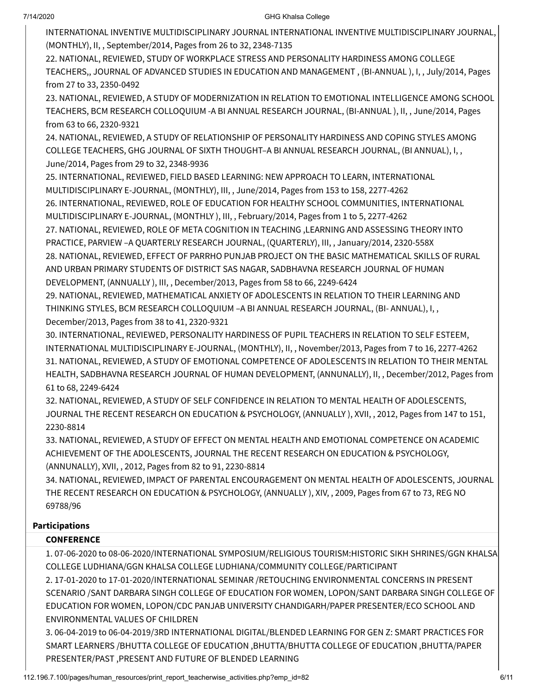INTERNATIONAL INVENTIVE MULTIDISCIPLINARY JOURNAL INTERNATIONAL INVENTIVE MULTIDISCIPLINARY JOURNAL, (MONTHLY), II, , September/2014, Pages from 26 to 32, 2348-7135

22. NATIONAL, REVIEWED, STUDY OF WORKPLACE STRESS AND PERSONALITY HARDINESS AMONG COLLEGE TEACHERS,, JOURNAL OF ADVANCED STUDIES IN EDUCATION AND MANAGEMENT , (BI-ANNUAL ), I, , July/2014, Pages from 27 to 33, 2350-0492

23. NATIONAL, REVIEWED, A STUDY OF MODERNIZATION IN RELATION TO EMOTIONAL INTELLIGENCE AMONG SCHOOL TEACHERS, BCM RESEARCH COLLOQUIUM -A BI ANNUAL RESEARCH JOURNAL, (BI-ANNUAL ), II, , June/2014, Pages from 63 to 66, 2320-9321

24. NATIONAL, REVIEWED, A STUDY OF RELATIONSHIP OF PERSONALITY HARDINESS AND COPING STYLES AMONG COLLEGE TEACHERS, GHG JOURNAL OF SIXTH THOUGHT–A BI ANNUAL RESEARCH JOURNAL, (BI ANNUAL), I, , June/2014, Pages from 29 to 32, 2348-9936

25. INTERNATIONAL, REVIEWED, FIELD BASED LEARNING: NEW APPROACH TO LEARN, INTERNATIONAL MULTIDISCIPLINARY E-JOURNAL, (MONTHLY), III, , June/2014, Pages from 153 to 158, 2277-4262

26. INTERNATIONAL, REVIEWED, ROLE OF EDUCATION FOR HEALTHY SCHOOL COMMUNITIES, INTERNATIONAL MULTIDISCIPLINARY E-JOURNAL, (MONTHLY ), III, , February/2014, Pages from 1 to 5, 2277-4262

27. NATIONAL, REVIEWED, ROLE OF META COGNITION IN TEACHING ,LEARNING AND ASSESSING THEORY INTO PRACTICE, PARVIEW –A QUARTERLY RESEARCH JOURNAL, (QUARTERLY), III, , January/2014, 2320-558X 28. NATIONAL, REVIEWED, EFFECT OF PARRHO PUNJAB PROJECT ON THE BASIC MATHEMATICAL SKILLS OF RURAL AND URBAN PRIMARY STUDENTS OF DISTRICT SAS NAGAR, SADBHAVNA RESEARCH JOURNAL OF HUMAN DEVELOPMENT, (ANNUALLY ), III, , December/2013, Pages from 58 to 66, 2249-6424

29. NATIONAL, REVIEWED, MATHEMATICAL ANXIETY OF ADOLESCENTS IN RELATION TO THEIR LEARNING AND THINKING STYLES, BCM RESEARCH COLLOQUIUM –A BI ANNUAL RESEARCH JOURNAL, (BI- ANNUAL), I, , December/2013, Pages from 38 to 41, 2320-9321

30. INTERNATIONAL, REVIEWED, PERSONALITY HARDINESS OF PUPIL TEACHERS IN RELATION TO SELF ESTEEM, INTERNATIONAL MULTIDISCIPLINARY E-JOURNAL, (MONTHLY), II, , November/2013, Pages from 7 to 16, 2277-4262 31. NATIONAL, REVIEWED, A STUDY OF EMOTIONAL COMPETENCE OF ADOLESCENTS IN RELATION TO THEIR MENTAL HEALTH, SADBHAVNA RESEARCH JOURNAL OF HUMAN DEVELOPMENT, (ANNUNALLY), II, , December/2012, Pages from 61 to 68, 2249-6424

32. NATIONAL, REVIEWED, A STUDY OF SELF CONFIDENCE IN RELATION TO MENTAL HEALTH OF ADOLESCENTS, JOURNAL THE RECENT RESEARCH ON EDUCATION & PSYCHOLOGY, (ANNUALLY ), XVII, , 2012, Pages from 147 to 151, 2230-8814

33. NATIONAL, REVIEWED, A STUDY OF EFFECT ON MENTAL HEALTH AND EMOTIONAL COMPETENCE ON ACADEMIC ACHIEVEMENT OF THE ADOLESCENTS, JOURNAL THE RECENT RESEARCH ON EDUCATION & PSYCHOLOGY, (ANNUNALLY), XVII, , 2012, Pages from 82 to 91, 2230-8814

34. NATIONAL, REVIEWED, IMPACT OF PARENTAL ENCOURAGEMENT ON MENTAL HEALTH OF ADOLESCENTS, JOURNAL THE RECENT RESEARCH ON EDUCATION & PSYCHOLOGY, (ANNUALLY ), XIV, , 2009, Pages from 67 to 73, REG NO 69788/96

## Participations

## **CONFERENCE**

1. 07-06-2020 to 08-06-2020/INTERNATIONAL SYMPOSIUM/RELIGIOUS TOURISM:HISTORIC SIKH SHRINES/GGN KHALSA COLLEGE LUDHIANA/GGN KHALSA COLLEGE LUDHIANA/COMMUNITY COLLEGE/PARTICIPANT

2. 17-01-2020 to 17-01-2020/INTERNATIONAL SEMINAR /RETOUCHING ENVIRONMENTAL CONCERNS IN PRESENT SCENARIO /SANT DARBARA SINGH COLLEGE OF EDUCATION FOR WOMEN, LOPON/SANT DARBARA SINGH COLLEGE OF EDUCATION FOR WOMEN, LOPON/CDC PANJAB UNIVERSITY CHANDIGARH/PAPER PRESENTER/ECO SCHOOL AND ENVIRONMENTAL VALUES OF CHILDREN

3. 06-04-2019 to 06-04-2019/3RD INTERNATIONAL DIGITAL/BLENDED LEARNING FOR GEN Z: SMART PRACTICES FOR SMART LEARNERS /BHUTTA COLLEGE OF EDUCATION ,BHUTTA/BHUTTA COLLEGE OF EDUCATION ,BHUTTA/PAPER PRESENTER/PAST ,PRESENT AND FUTURE OF BLENDED LEARNING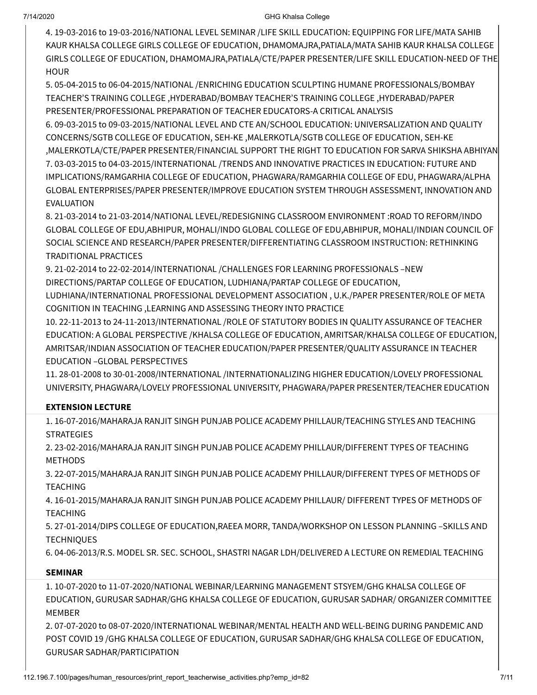4. 19-03-2016 to 19-03-2016/NATIONAL LEVEL SEMINAR /LIFE SKILL EDUCATION: EQUIPPING FOR LIFE/MATA SAHIB KAUR KHALSA COLLEGE GIRLS COLLEGE OF EDUCATION, DHAMOMAJRA,PATIALA/MATA SAHIB KAUR KHALSA COLLEGE GIRLS COLLEGE OF EDUCATION, DHAMOMAJRA,PATIALA/CTE/PAPER PRESENTER/LIFE SKILL EDUCATION-NEED OF THE **HOUR** 

5. 05-04-2015 to 06-04-2015/NATIONAL /ENRICHING EDUCATION SCULPTING HUMANE PROFESSIONALS/BOMBAY TEACHER'S TRAINING COLLEGE ,HYDERABAD/BOMBAY TEACHER'S TRAINING COLLEGE ,HYDERABAD/PAPER PRESENTER/PROFESSIONAL PREPARATION OF TEACHER EDUCATORS-A CRITICAL ANALYSIS

6. 09-03-2015 to 09-03-2015/NATIONAL LEVEL AND CTE AN/SCHOOL EDUCATION: UNIVERSALIZATION AND QUALITY CONCERNS/SGTB COLLEGE OF EDUCATION, SEH-KE ,MALERKOTLA/SGTB COLLEGE OF EDUCATION, SEH-KE ,MALERKOTLA/CTE/PAPER PRESENTER/FINANCIAL SUPPORT THE RIGHT TO EDUCATION FOR SARVA SHIKSHA ABHIYAN 7. 03-03-2015 to 04-03-2015/INTERNATIONAL /TRENDS AND INNOVATIVE PRACTICES IN EDUCATION: FUTURE AND IMPLICATIONS/RAMGARHIA COLLEGE OF EDUCATION, PHAGWARA/RAMGARHIA COLLEGE OF EDU, PHAGWARA/ALPHA GLOBAL ENTERPRISES/PAPER PRESENTER/IMPROVE EDUCATION SYSTEM THROUGH ASSESSMENT, INNOVATION AND EVALUATION

8. 21-03-2014 to 21-03-2014/NATIONAL LEVEL/REDESIGNING CLASSROOM ENVIRONMENT :ROAD TO REFORM/INDO GLOBAL COLLEGE OF EDU,ABHIPUR, MOHALI/INDO GLOBAL COLLEGE OF EDU,ABHIPUR, MOHALI/INDIAN COUNCIL OF SOCIAL SCIENCE AND RESEARCH/PAPER PRESENTER/DIFFERENTIATING CLASSROOM INSTRUCTION: RETHINKING TRADITIONAL PRACTICES

9. 21-02-2014 to 22-02-2014/INTERNATIONAL /CHALLENGES FOR LEARNING PROFESSIONALS –NEW DIRECTIONS/PARTAP COLLEGE OF EDUCATION, LUDHIANA/PARTAP COLLEGE OF EDUCATION,

LUDHIANA/INTERNATIONAL PROFESSIONAL DEVELOPMENT ASSOCIATION , U.K./PAPER PRESENTER/ROLE OF META COGNITION IN TEACHING ,LEARNING AND ASSESSING THEORY INTO PRACTICE

10. 22-11-2013 to 24-11-2013/INTERNATIONAL /ROLE OF STATUTORY BODIES IN QUALITY ASSURANCE OF TEACHER EDUCATION: A GLOBAL PERSPECTIVE /KHALSA COLLEGE OF EDUCATION, AMRITSAR/KHALSA COLLEGE OF EDUCATION, AMRITSAR/INDIAN ASSOCIATION OF TEACHER EDUCATION/PAPER PRESENTER/QUALITY ASSURANCE IN TEACHER EDUCATION –GLOBAL PERSPECTIVES

11. 28-01-2008 to 30-01-2008/INTERNATIONAL /INTERNATIONALIZING HIGHER EDUCATION/LOVELY PROFESSIONAL UNIVERSITY, PHAGWARA/LOVELY PROFESSIONAL UNIVERSITY, PHAGWARA/PAPER PRESENTER/TEACHER EDUCATION

## EXTENSION LECTURE

1. 16-07-2016/MAHARAJA RANJIT SINGH PUNJAB POLICE ACADEMY PHILLAUR/TEACHING STYLES AND TEACHING **STRATEGIES** 

2. 23-02-2016/MAHARAJA RANJIT SINGH PUNJAB POLICE ACADEMY PHILLAUR/DIFFERENT TYPES OF TEACHING METHODS

3. 22-07-2015/MAHARAJA RANJIT SINGH PUNJAB POLICE ACADEMY PHILLAUR/DIFFERENT TYPES OF METHODS OF TEACHING

4. 16-01-2015/MAHARAJA RANJIT SINGH PUNJAB POLICE ACADEMY PHILLAUR/ DIFFERENT TYPES OF METHODS OF TEACHING

5. 27-01-2014/DIPS COLLEGE OF EDUCATION,RAEEA MORR, TANDA/WORKSHOP ON LESSON PLANNING –SKILLS AND **TECHNIQUES** 

6. 04-06-2013/R.S. MODEL SR. SEC. SCHOOL, SHASTRI NAGAR LDH/DELIVERED A LECTURE ON REMEDIAL TEACHING

# SEMINAR

1. 10-07-2020 to 11-07-2020/NATIONAL WEBINAR/LEARNING MANAGEMENT STSYEM/GHG KHALSA COLLEGE OF EDUCATION, GURUSAR SADHAR/GHG KHALSA COLLEGE OF EDUCATION, GURUSAR SADHAR/ ORGANIZER COMMITTEE MEMBER

2. 07-07-2020 to 08-07-2020/INTERNATIONAL WEBINAR/MENTAL HEALTH AND WELL-BEING DURING PANDEMIC AND POST COVID 19 /GHG KHALSA COLLEGE OF EDUCATION, GURUSAR SADHAR/GHG KHALSA COLLEGE OF EDUCATION, GURUSAR SADHAR/PARTICIPATION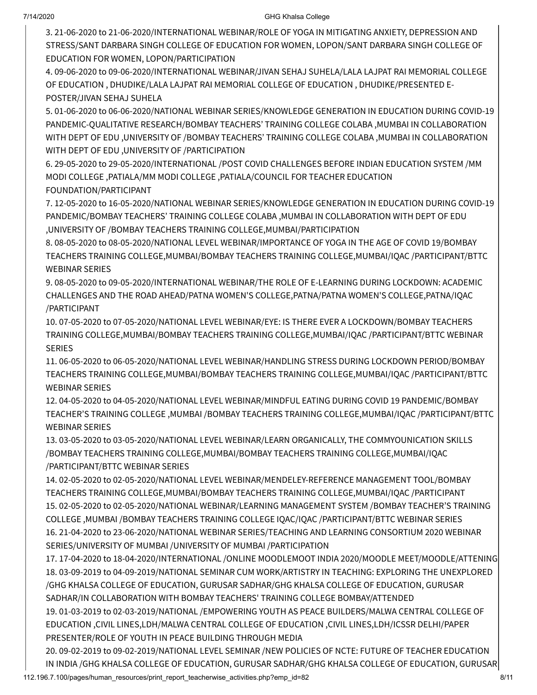3. 21-06-2020 to 21-06-2020/INTERNATIONAL WEBINAR/ROLE OF YOGA IN MITIGATING ANXIETY, DEPRESSION AND STRESS/SANT DARBARA SINGH COLLEGE OF EDUCATION FOR WOMEN, LOPON/SANT DARBARA SINGH COLLEGE OF EDUCATION FOR WOMEN, LOPON/PARTICIPATION

4. 09-06-2020 to 09-06-2020/INTERNATIONAL WEBINAR/JIVAN SEHAJ SUHELA/LALA LAJPAT RAI MEMORIAL COLLEGE OF EDUCATION , DHUDIKE/LALA LAJPAT RAI MEMORIAL COLLEGE OF EDUCATION , DHUDIKE/PRESENTED E-POSTER/JIVAN SEHAJ SUHELA

5. 01-06-2020 to 06-06-2020/NATIONAL WEBINAR SERIES/KNOWLEDGE GENERATION IN EDUCATION DURING COVID-19 PANDEMIC-QUALITATIVE RESEARCH/BOMBAY TEACHERS' TRAINING COLLEGE COLABA ,MUMBAI IN COLLABORATION WITH DEPT OF EDU ,UNIVERSITY OF /BOMBAY TEACHERS' TRAINING COLLEGE COLABA ,MUMBAI IN COLLABORATION WITH DEPT OF EDU ,UNIVERSITY OF /PARTICIPATION

6. 29-05-2020 to 29-05-2020/INTERNATIONAL /POST COVID CHALLENGES BEFORE INDIAN EDUCATION SYSTEM /MM MODI COLLEGE ,PATIALA/MM MODI COLLEGE ,PATIALA/COUNCIL FOR TEACHER EDUCATION FOUNDATION/PARTICIPANT

7. 12-05-2020 to 16-05-2020/NATIONAL WEBINAR SERIES/KNOWLEDGE GENERATION IN EDUCATION DURING COVID-19 PANDEMIC/BOMBAY TEACHERS' TRAINING COLLEGE COLABA ,MUMBAI IN COLLABORATION WITH DEPT OF EDU ,UNIVERSITY OF /BOMBAY TEACHERS TRAINING COLLEGE,MUMBAI/PARTICIPATION

8. 08-05-2020 to 08-05-2020/NATIONAL LEVEL WEBINAR/IMPORTANCE OF YOGA IN THE AGE OF COVID 19/BOMBAY TEACHERS TRAINING COLLEGE,MUMBAI/BOMBAY TEACHERS TRAINING COLLEGE,MUMBAI/IQAC /PARTICIPANT/BTTC WEBINAR SERIES

9. 08-05-2020 to 09-05-2020/INTERNATIONAL WEBINAR/THE ROLE OF E-LEARNING DURING LOCKDOWN: ACADEMIC CHALLENGES AND THE ROAD AHEAD/PATNA WOMEN'S COLLEGE,PATNA/PATNA WOMEN'S COLLEGE,PATNA/IQAC /PARTICIPANT

10. 07-05-2020 to 07-05-2020/NATIONAL LEVEL WEBINAR/EYE: IS THERE EVER A LOCKDOWN/BOMBAY TEACHERS TRAINING COLLEGE,MUMBAI/BOMBAY TEACHERS TRAINING COLLEGE,MUMBAI/IQAC /PARTICIPANT/BTTC WEBINAR SERIES

11. 06-05-2020 to 06-05-2020/NATIONAL LEVEL WEBINAR/HANDLING STRESS DURING LOCKDOWN PERIOD/BOMBAY TEACHERS TRAINING COLLEGE,MUMBAI/BOMBAY TEACHERS TRAINING COLLEGE,MUMBAI/IQAC /PARTICIPANT/BTTC WEBINAR SERIES

12. 04-05-2020 to 04-05-2020/NATIONAL LEVEL WEBINAR/MINDFUL EATING DURING COVID 19 PANDEMIC/BOMBAY TEACHER'S TRAINING COLLEGE ,MUMBAI /BOMBAY TEACHERS TRAINING COLLEGE,MUMBAI/IQAC /PARTICIPANT/BTTC WEBINAR SERIES

13. 03-05-2020 to 03-05-2020/NATIONAL LEVEL WEBINAR/LEARN ORGANICALLY, THE COMMYOUNICATION SKILLS /BOMBAY TEACHERS TRAINING COLLEGE,MUMBAI/BOMBAY TEACHERS TRAINING COLLEGE,MUMBAI/IQAC /PARTICIPANT/BTTC WEBINAR SERIES

14. 02-05-2020 to 02-05-2020/NATIONAL LEVEL WEBINAR/MENDELEY-REFERENCE MANAGEMENT TOOL/BOMBAY TEACHERS TRAINING COLLEGE,MUMBAI/BOMBAY TEACHERS TRAINING COLLEGE,MUMBAI/IQAC /PARTICIPANT 15. 02-05-2020 to 02-05-2020/NATIONAL WEBINAR/LEARNING MANAGEMENT SYSTEM /BOMBAY TEACHER'S TRAINING COLLEGE ,MUMBAI /BOMBAY TEACHERS TRAINING COLLEGE IQAC/IQAC /PARTICIPANT/BTTC WEBINAR SERIES 16. 21-04-2020 to 23-06-2020/NATIONAL WEBINAR SERIES/TEACHING AND LEARNING CONSORTIUM 2020 WEBINAR SERIES/UNIVERSITY OF MUMBAI /UNIVERSITY OF MUMBAI /PARTICIPATION

17. 17-04-2020 to 18-04-2020/INTERNATIONAL /ONLINE MOODLEMOOT INDIA 2020/MOODLE MEET/MOODLE/ATTENING 18. 03-09-2019 to 04-09-2019/NATIONAL SEMINAR CUM WORK/ARTISTRY IN TEACHING: EXPLORING THE UNEXPLORED /GHG KHALSA COLLEGE OF EDUCATION, GURUSAR SADHAR/GHG KHALSA COLLEGE OF EDUCATION, GURUSAR SADHAR/IN COLLABORATION WITH BOMBAY TEACHERS' TRAINING COLLEGE BOMBAY/ATTENDED

19. 01-03-2019 to 02-03-2019/NATIONAL /EMPOWERING YOUTH AS PEACE BUILDERS/MALWA CENTRAL COLLEGE OF EDUCATION ,CIVIL LINES,LDH/MALWA CENTRAL COLLEGE OF EDUCATION ,CIVIL LINES,LDH/ICSSR DELHI/PAPER PRESENTER/ROLE OF YOUTH IN PEACE BUILDING THROUGH MEDIA

112.196.7.100/pages/human\_resources/print\_report\_teacherwise\_activities.php?emp\_id=82 8/11 20. 09-02-2019 to 09-02-2019/NATIONAL LEVEL SEMINAR /NEW POLICIES OF NCTE: FUTURE OF TEACHER EDUCATION IN INDIA /GHG KHALSA COLLEGE OF EDUCATION, GURUSAR SADHAR/GHG KHALSA COLLEGE OF EDUCATION, GURUSAR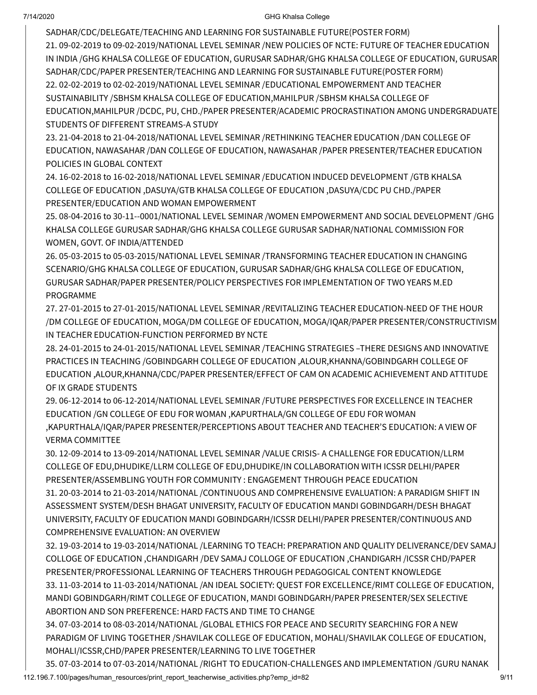SADHAR/CDC/DELEGATE/TEACHING AND LEARNING FOR SUSTAINABLE FUTURE(POSTER FORM) 21. 09-02-2019 to 09-02-2019/NATIONAL LEVEL SEMINAR /NEW POLICIES OF NCTE: FUTURE OF TEACHER EDUCATION IN INDIA /GHG KHALSA COLLEGE OF EDUCATION, GURUSAR SADHAR/GHG KHALSA COLLEGE OF EDUCATION, GURUSAR SADHAR/CDC/PAPER PRESENTER/TEACHING AND LEARNING FOR SUSTAINABLE FUTURE(POSTER FORM) 22. 02-02-2019 to 02-02-2019/NATIONAL LEVEL SEMINAR /EDUCATIONAL EMPOWERMENT AND TEACHER SUSTAINABILITY /SBHSM KHALSA COLLEGE OF EDUCATION,MAHILPUR /SBHSM KHALSA COLLEGE OF EDUCATION,MAHILPUR /DCDC, PU, CHD./PAPER PRESENTER/ACADEMIC PROCRASTINATION AMONG UNDERGRADUATE STUDENTS OF DIFFERENT STREAMS-A STUDY

23. 21-04-2018 to 21-04-2018/NATIONAL LEVEL SEMINAR /RETHINKING TEACHER EDUCATION /DAN COLLEGE OF EDUCATION, NAWASAHAR /DAN COLLEGE OF EDUCATION, NAWASAHAR /PAPER PRESENTER/TEACHER EDUCATION POLICIES IN GLOBAL CONTEXT

24. 16-02-2018 to 16-02-2018/NATIONAL LEVEL SEMINAR /EDUCATION INDUCED DEVELOPMENT /GTB KHALSA COLLEGE OF EDUCATION ,DASUYA/GTB KHALSA COLLEGE OF EDUCATION ,DASUYA/CDC PU CHD./PAPER PRESENTER/EDUCATION AND WOMAN EMPOWERMENT

25. 08-04-2016 to 30-11--0001/NATIONAL LEVEL SEMINAR /WOMEN EMPOWERMENT AND SOCIAL DEVELOPMENT /GHG KHALSA COLLEGE GURUSAR SADHAR/GHG KHALSA COLLEGE GURUSAR SADHAR/NATIONAL COMMISSION FOR WOMEN, GOVT. OF INDIA/ATTENDED

26. 05-03-2015 to 05-03-2015/NATIONAL LEVEL SEMINAR /TRANSFORMING TEACHER EDUCATION IN CHANGING SCENARIO/GHG KHALSA COLLEGE OF EDUCATION, GURUSAR SADHAR/GHG KHALSA COLLEGE OF EDUCATION, GURUSAR SADHAR/PAPER PRESENTER/POLICY PERSPECTIVES FOR IMPLEMENTATION OF TWO YEARS M.ED PROGRAMME

27. 27-01-2015 to 27-01-2015/NATIONAL LEVEL SEMINAR /REVITALIZING TEACHER EDUCATION-NEED OF THE HOUR /DM COLLEGE OF EDUCATION, MOGA/DM COLLEGE OF EDUCATION, MOGA/IQAR/PAPER PRESENTER/CONSTRUCTIVISM IN TEACHER EDUCATION-FUNCTION PERFORMED BY NCTE

28. 24-01-2015 to 24-01-2015/NATIONAL LEVEL SEMINAR /TEACHING STRATEGIES –THERE DESIGNS AND INNOVATIVE PRACTICES IN TEACHING /GOBINDGARH COLLEGE OF EDUCATION ,ALOUR,KHANNA/GOBINDGARH COLLEGE OF EDUCATION ,ALOUR,KHANNA/CDC/PAPER PRESENTER/EFFECT OF CAM ON ACADEMIC ACHIEVEMENT AND ATTITUDE OF IX GRADE STUDENTS

29. 06-12-2014 to 06-12-2014/NATIONAL LEVEL SEMINAR /FUTURE PERSPECTIVES FOR EXCELLENCE IN TEACHER EDUCATION /GN COLLEGE OF EDU FOR WOMAN ,KAPURTHALA/GN COLLEGE OF EDU FOR WOMAN ,KAPURTHALA/IQAR/PAPER PRESENTER/PERCEPTIONS ABOUT TEACHER AND TEACHER'S EDUCATION: A VIEW OF VERMA COMMITTEE

30. 12-09-2014 to 13-09-2014/NATIONAL LEVEL SEMINAR /VALUE CRISIS- A CHALLENGE FOR EDUCATION/LLRM COLLEGE OF EDU,DHUDIKE/LLRM COLLEGE OF EDU,DHUDIKE/IN COLLABORATION WITH ICSSR DELHI/PAPER PRESENTER/ASSEMBLING YOUTH FOR COMMUNITY : ENGAGEMENT THROUGH PEACE EDUCATION 31. 20-03-2014 to 21-03-2014/NATIONAL /CONTINUOUS AND COMPREHENSIVE EVALUATION: A PARADIGM SHIFT IN ASSESSMENT SYSTEM/DESH BHAGAT UNIVERSITY, FACULTY OF EDUCATION MANDI GOBINDGARH/DESH BHAGAT UNIVERSITY, FACULTY OF EDUCATION MANDI GOBINDGARH/ICSSR DELHI/PAPER PRESENTER/CONTINUOUS AND COMPREHENSIVE EVALUATION: AN OVERVIEW

32. 19-03-2014 to 19-03-2014/NATIONAL /LEARNING TO TEACH: PREPARATION AND QUALITY DELIVERANCE/DEV SAMAJ COLLOGE OF EDUCATION ,CHANDIGARH /DEV SAMAJ COLLOGE OF EDUCATION ,CHANDIGARH /ICSSR CHD/PAPER PRESENTER/PROFESSIONAL LEARNING OF TEACHERS THROUGH PEDAGOGICAL CONTENT KNOWLEDGE 33. 11-03-2014 to 11-03-2014/NATIONAL /AN IDEAL SOCIETY: QUEST FOR EXCELLENCE/RIMT COLLEGE OF EDUCATION, MANDI GOBINDGARH/RIMT COLLEGE OF EDUCATION, MANDI GOBINDGARH/PAPER PRESENTER/SEX SELECTIVE ABORTION AND SON PREFERENCE: HARD FACTS AND TIME TO CHANGE

34. 07-03-2014 to 08-03-2014/NATIONAL /GLOBAL ETHICS FOR PEACE AND SECURITY SEARCHING FOR A NEW PARADIGM OF LIVING TOGETHER /SHAVILAK COLLEGE OF EDUCATION, MOHALI/SHAVILAK COLLEGE OF EDUCATION, MOHALI/ICSSR,CHD/PAPER PRESENTER/LEARNING TO LIVE TOGETHER

112.196.7.100/pages/human\_resources/print\_report\_teacherwise\_activities.php?emp\_id=82 9/11 35. 07-03-2014 to 07-03-2014/NATIONAL /RIGHT TO EDUCATION-CHALLENGES AND IMPLEMENTATION /GURU NANAK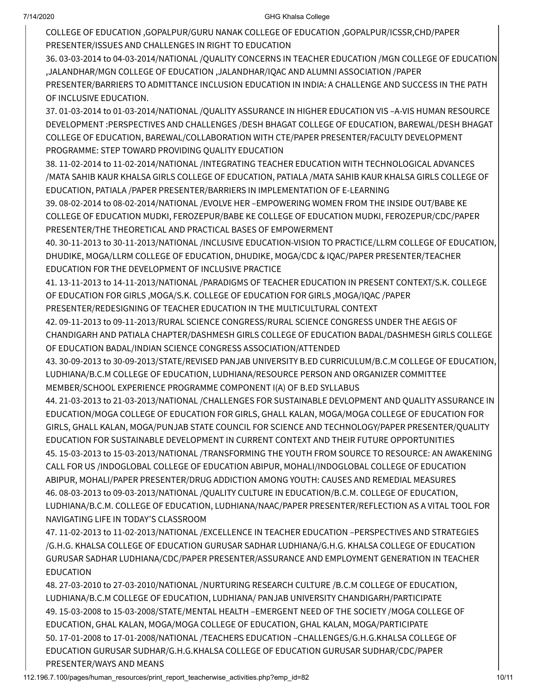COLLEGE OF EDUCATION ,GOPALPUR/GURU NANAK COLLEGE OF EDUCATION ,GOPALPUR/ICSSR,CHD/PAPER PRESENTER/ISSUES AND CHALLENGES IN RIGHT TO EDUCATION

36. 03-03-2014 to 04-03-2014/NATIONAL /QUALITY CONCERNS IN TEACHER EDUCATION /MGN COLLEGE OF EDUCATION ,JALANDHAR/MGN COLLEGE OF EDUCATION ,JALANDHAR/IQAC AND ALUMNI ASSOCIATION /PAPER PRESENTER/BARRIERS TO ADMITTANCE INCLUSION EDUCATION IN INDIA: A CHALLENGE AND SUCCESS IN THE PATH OF INCLUSIVE EDUCATION.

37. 01-03-2014 to 01-03-2014/NATIONAL /QUALITY ASSURANCE IN HIGHER EDUCATION VIS –A-VIS HUMAN RESOURCE DEVELOPMENT :PERSPECTIVES AND CHALLENGES /DESH BHAGAT COLLEGE OF EDUCATION, BAREWAL/DESH BHAGAT COLLEGE OF EDUCATION, BAREWAL/COLLABORATION WITH CTE/PAPER PRESENTER/FACULTY DEVELOPMENT PROGRAMME: STEP TOWARD PROVIDING QUALITY EDUCATION

38. 11-02-2014 to 11-02-2014/NATIONAL /INTEGRATING TEACHER EDUCATION WITH TECHNOLOGICAL ADVANCES /MATA SAHIB KAUR KHALSA GIRLS COLLEGE OF EDUCATION, PATIALA /MATA SAHIB KAUR KHALSA GIRLS COLLEGE OF EDUCATION, PATIALA /PAPER PRESENTER/BARRIERS IN IMPLEMENTATION OF E-LEARNING

39. 08-02-2014 to 08-02-2014/NATIONAL /EVOLVE HER –EMPOWERING WOMEN FROM THE INSIDE OUT/BABE KE COLLEGE OF EDUCATION MUDKI, FEROZEPUR/BABE KE COLLEGE OF EDUCATION MUDKI, FEROZEPUR/CDC/PAPER PRESENTER/THE THEORETICAL AND PRACTICAL BASES OF EMPOWERMENT

40. 30-11-2013 to 30-11-2013/NATIONAL /INCLUSIVE EDUCATION-VISION TO PRACTICE/LLRM COLLEGE OF EDUCATION, DHUDIKE, MOGA/LLRM COLLEGE OF EDUCATION, DHUDIKE, MOGA/CDC & IQAC/PAPER PRESENTER/TEACHER EDUCATION FOR THE DEVELOPMENT OF INCLUSIVE PRACTICE

41. 13-11-2013 to 14-11-2013/NATIONAL /PARADIGMS OF TEACHER EDUCATION IN PRESENT CONTEXT/S.K. COLLEGE OF EDUCATION FOR GIRLS ,MOGA/S.K. COLLEGE OF EDUCATION FOR GIRLS ,MOGA/IQAC /PAPER PRESENTER/REDESIGNING OF TEACHER EDUCATION IN THE MULTICULTURAL CONTEXT

42. 09-11-2013 to 09-11-2013/RURAL SCIENCE CONGRESS/RURAL SCIENCE CONGRESS UNDER THE AEGIS OF CHANDIGARH AND PATIALA CHAPTER/DASHMESH GIRLS COLLEGE OF EDUCATION BADAL/DASHMESH GIRLS COLLEGE OF EDUCATION BADAL/INDIAN SCIENCE CONGRESS ASSOCIATION/ATTENDED

43. 30-09-2013 to 30-09-2013/STATE/REVISED PANJAB UNIVERSITY B.ED CURRICULUM/B.C.M COLLEGE OF EDUCATION, LUDHIANA/B.C.M COLLEGE OF EDUCATION, LUDHIANA/RESOURCE PERSON AND ORGANIZER COMMITTEE MEMBER/SCHOOL EXPERIENCE PROGRAMME COMPONENT I(A) OF B.ED SYLLABUS

44. 21-03-2013 to 21-03-2013/NATIONAL /CHALLENGES FOR SUSTAINABLE DEVLOPMENT AND QUALITY ASSURANCE IN EDUCATION/MOGA COLLEGE OF EDUCATION FOR GIRLS, GHALL KALAN, MOGA/MOGA COLLEGE OF EDUCATION FOR GIRLS, GHALL KALAN, MOGA/PUNJAB STATE COUNCIL FOR SCIENCE AND TECHNOLOGY/PAPER PRESENTER/QUALITY EDUCATION FOR SUSTAINABLE DEVELOPMENT IN CURRENT CONTEXT AND THEIR FUTURE OPPORTUNITIES 45. 15-03-2013 to 15-03-2013/NATIONAL /TRANSFORMING THE YOUTH FROM SOURCE TO RESOURCE: AN AWAKENING CALL FOR US /INDOGLOBAL COLLEGE OF EDUCATION ABIPUR, MOHALI/INDOGLOBAL COLLEGE OF EDUCATION ABIPUR, MOHALI/PAPER PRESENTER/DRUG ADDICTION AMONG YOUTH: CAUSES AND REMEDIAL MEASURES 46. 08-03-2013 to 09-03-2013/NATIONAL /QUALITY CULTURE IN EDUCATION/B.C.M. COLLEGE OF EDUCATION, LUDHIANA/B.C.M. COLLEGE OF EDUCATION, LUDHIANA/NAAC/PAPER PRESENTER/REFLECTION AS A VITAL TOOL FOR NAVIGATING LIFE IN TODAY'S CLASSROOM

47. 11-02-2013 to 11-02-2013/NATIONAL /EXCELLENCE IN TEACHER EDUCATION –PERSPECTIVES AND STRATEGIES /G.H.G. KHALSA COLLEGE OF EDUCATION GURUSAR SADHAR LUDHIANA/G.H.G. KHALSA COLLEGE OF EDUCATION GURUSAR SADHAR LUDHIANA/CDC/PAPER PRESENTER/ASSURANCE AND EMPLOYMENT GENERATION IN TEACHER EDUCATION

48. 27-03-2010 to 27-03-2010/NATIONAL /NURTURING RESEARCH CULTURE /B.C.M COLLEGE OF EDUCATION, LUDHIANA/B.C.M COLLEGE OF EDUCATION, LUDHIANA/ PANJAB UNIVERSITY CHANDIGARH/PARTICIPATE 49. 15-03-2008 to 15-03-2008/STATE/MENTAL HEALTH –EMERGENT NEED OF THE SOCIETY /MOGA COLLEGE OF EDUCATION, GHAL KALAN, MOGA/MOGA COLLEGE OF EDUCATION, GHAL KALAN, MOGA/PARTICIPATE 50. 17-01-2008 to 17-01-2008/NATIONAL /TEACHERS EDUCATION –CHALLENGES/G.H.G.KHALSA COLLEGE OF EDUCATION GURUSAR SUDHAR/G.H.G.KHALSA COLLEGE OF EDUCATION GURUSAR SUDHAR/CDC/PAPER PRESENTER/WAYS AND MEANS